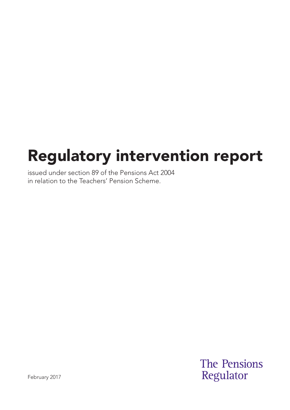# Regulatory intervention report

issued under section 89 of the Pensions Act 2004 in relation to the Teachers' Pension Scheme.

> **The Pensions** Regulator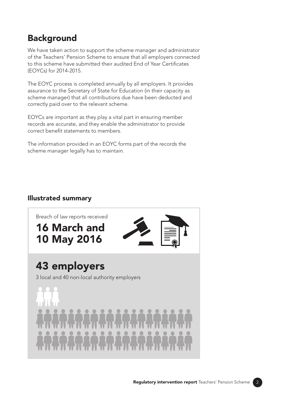## **Background**

We have taken action to support the scheme manager and administrator of the Teachers' Pension Scheme to ensure that all employers connected to this scheme have submitted their audited End of Year Certificates (EOYCs) for 2014-2015.

The EOYC process is completed annually by all employers. It provides assurance to the Secretary of State for Education (in their capacity as scheme manager) that all contributions due have been deducted and correctly paid over to the relevant scheme.

EOYCs are important as they play a vital part in ensuring member records are accurate, and they enable the administrator to provide correct benefit statements to members.

The information provided in an EOYC forms part of the records the scheme manager legally has to maintain.

#### Illustrated summary



43 employers

3 local and 40 non-local authority employers

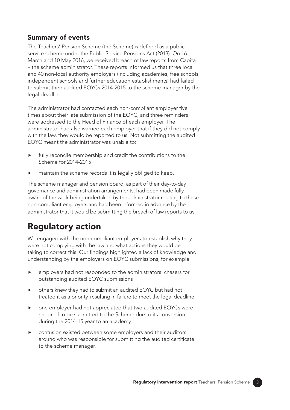### Summary of events

The Teachers' Pension Scheme (the Scheme) is defined as a public service scheme under the Public Service Pensions Act (2013). On 16 March and 10 May 2016, we received breach of law reports from Capita – the scheme administrator. These reports informed us that three local and 40 non-local authority employers (including academies, free schools, independent schools and further education establishments) had failed to submit their audited EOYCs 2014-2015 to the scheme manager by the legal deadline.

The administrator had contacted each non-compliant employer five times about their late submission of the EOYC, and three reminders were addressed to the Head of Finance of each employer. The administrator had also warned each employer that if they did not comply with the law, they would be reported to us. Not submitting the audited EOYC meant the administrator was unable to:

- fully reconcile membership and credit the contributions to the Scheme for 2014-2015
- maintain the scheme records it is legally obliged to keep.

The scheme manager and pension board, as part of their day-to-day governance and administration arrangements, had been made fully aware of the work being undertaken by the administrator relating to these non-compliant employers and had been informed in advance by the administrator that it would be submitting the breach of law reports to us.

# Regulatory action

We engaged with the non-compliant employers to establish why they were not complying with the law and what actions they would be taking to correct this. Our findings highlighted a lack of knowledge and understanding by the employers on EOYC submissions, for example:

- employers had not responded to the administrators' chasers for outstanding audited EOYC submissions
- others knew they had to submit an audited EOYC but had not treated it as a priority, resulting in failure to meet the legal deadline
- one employer had not appreciated that two audited EOYCs were required to be submitted to the Scheme due to its conversion during the 2014-15 year to an academy
- confusion existed between some employers and their auditors around who was responsible for submitting the audited certificate to the scheme manager.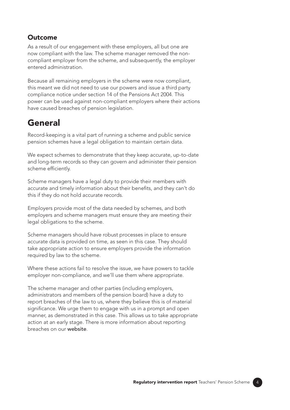#### **Outcome**

As a result of our engagement with these employers, all but one are now compliant with the law. The scheme manager removed the noncompliant employer from the scheme, and subsequently, the employer entered administration.

Because all remaining employers in the scheme were now compliant, this meant we did not need to use our powers and issue a third party compliance notice under section 14 of the Pensions Act 2004. This power can be used against non-compliant employers where their actions have caused breaches of pension legislation.

# General

Record-keeping is a vital part of running a scheme and public service pension schemes have a legal obligation to maintain certain data.

We expect schemes to demonstrate that they keep accurate, up-to-date and long-term records so they can govern and administer their pension scheme efficiently.

Scheme managers have a legal duty to provide their members with accurate and timely information about their benefits, and they can't do this if they do not hold accurate records.

Employers provide most of the data needed by schemes, and both employers and scheme managers must ensure they are meeting their legal obligations to the scheme.

Scheme managers should have robust processes in place to ensure accurate data is provided on time, as seen in this case. They should take appropriate action to ensure employers provide the information required by law to the scheme.

Where these actions fail to resolve the issue, we have powers to tackle employer non-compliance, and we'll use them where appropriate.

The scheme manager and other parties (including employers, administrators and members of the pension board) have a duty to report breaches of the law to us, where they believe this is of material significance. We urge them to engage with us in a prompt and open manner, as demonstrated in this case. This allows us to take appropriate action at an early stage. There is more information about reporting breaches on our [website](http://www.tpr.gov.uk/code1).